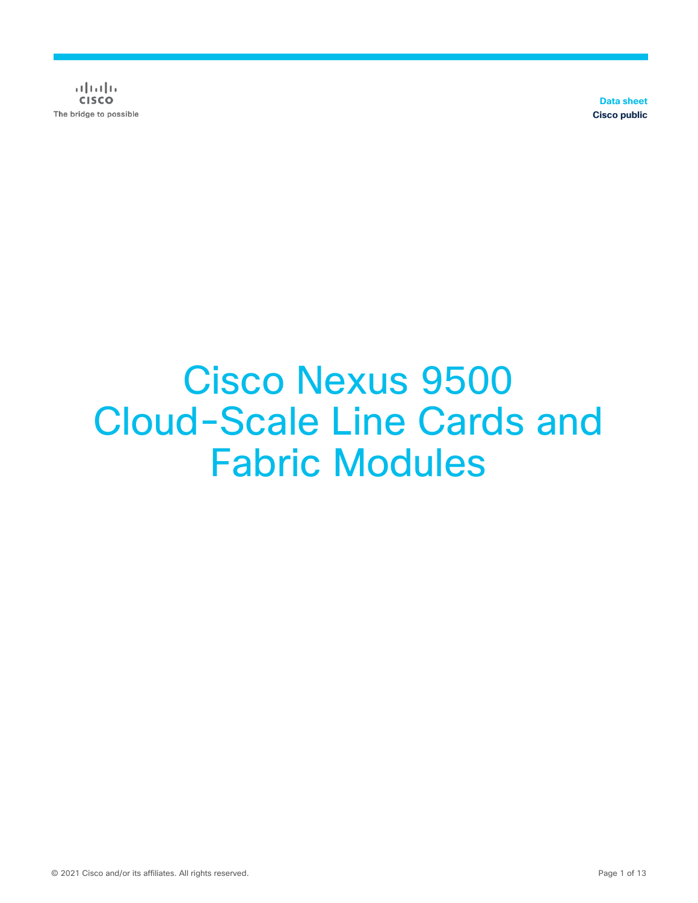$(1)$   $(1)$   $(1)$ **CISCO** The bridge to possible

**Data sheet Cisco public**

# Cisco Nexus 9500 Cloud-Scale Line Cards and Fabric Modules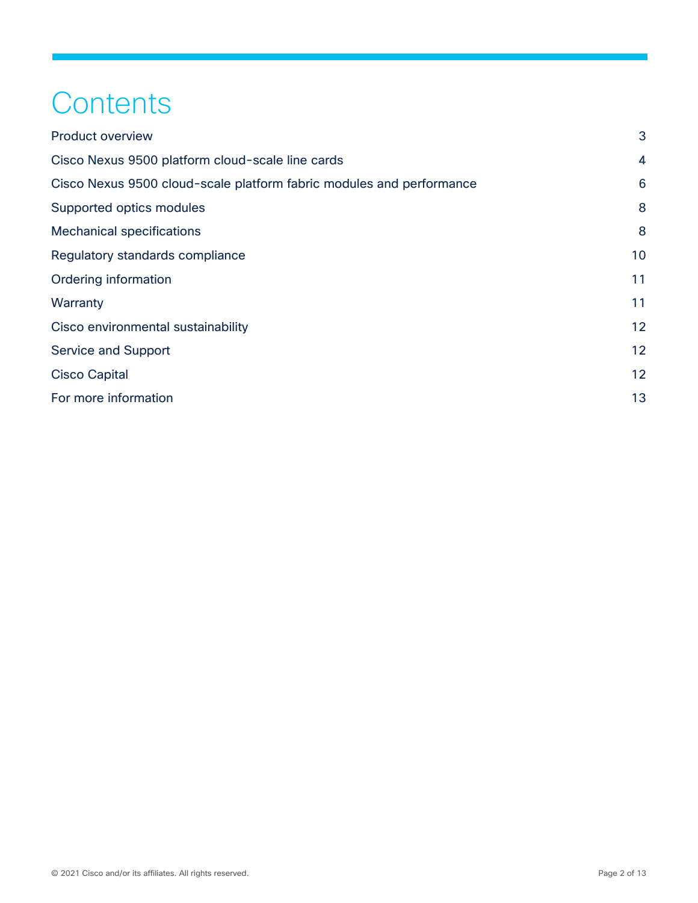## **Contents**

| 3  |
|----|
| 4  |
| 6  |
| 8  |
| 8  |
| 10 |
| 11 |
| 11 |
| 12 |
| 12 |
| 12 |
| 13 |
|    |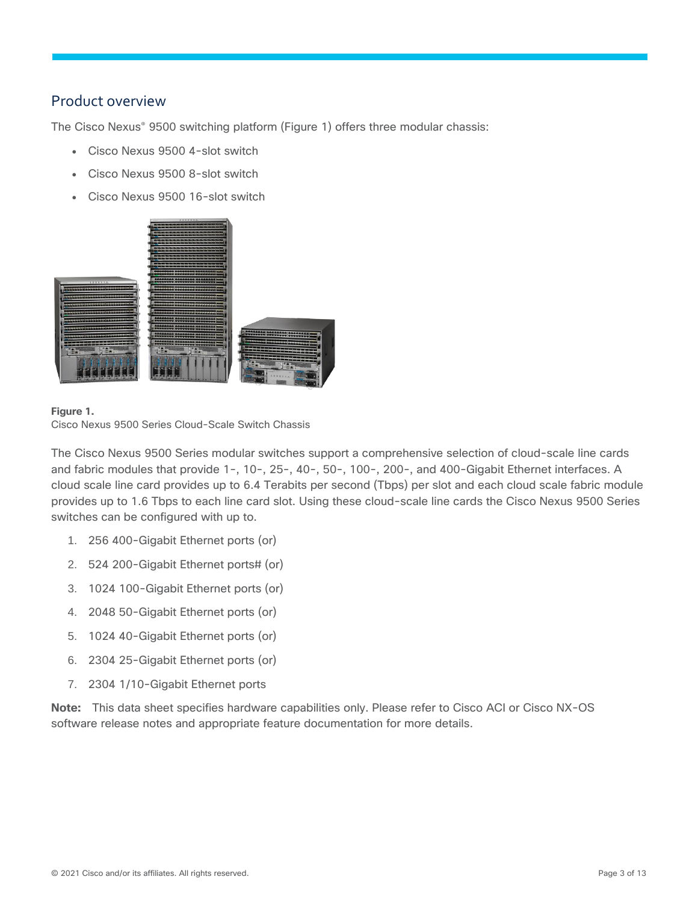## <span id="page-2-0"></span>Product overview

The Cisco Nexus® 9500 switching platform (Figure 1) offers three modular chassis:

- Cisco Nexus 9500 4-slot switch
- Cisco Nexus 9500 8-slot switch
- Cisco Nexus 9500 16-slot switch



#### **Figure 1.**

Cisco Nexus 9500 Series Cloud-Scale Switch Chassis

The Cisco Nexus 9500 Series modular switches support a comprehensive selection of cloud-scale line cards and fabric modules that provide 1-, 10-, 25-, 40-, 50-, 100-, 200-, and 400-Gigabit Ethernet interfaces. A cloud scale line card provides up to 6.4 Terabits per second (Tbps) per slot and each cloud scale fabric module provides up to 1.6 Tbps to each line card slot. Using these cloud-scale line cards the Cisco Nexus 9500 Series switches can be configured with up to.

- 1. 256 400-Gigabit Ethernet ports (or)
- 2. 524 200-Gigabit Ethernet ports# (or)
- 3. 1024 100-Gigabit Ethernet ports (or)
- 4. 2048 50-Gigabit Ethernet ports (or)
- 5. 1024 40-Gigabit Ethernet ports (or)
- 6. 2304 25-Gigabit Ethernet ports (or)
- 7. 2304 1/10-Gigabit Ethernet ports

**Note:** This data sheet specifies hardware capabilities only. Please refer to Cisco ACI or Cisco NX-OS software release notes and appropriate feature documentation for more details.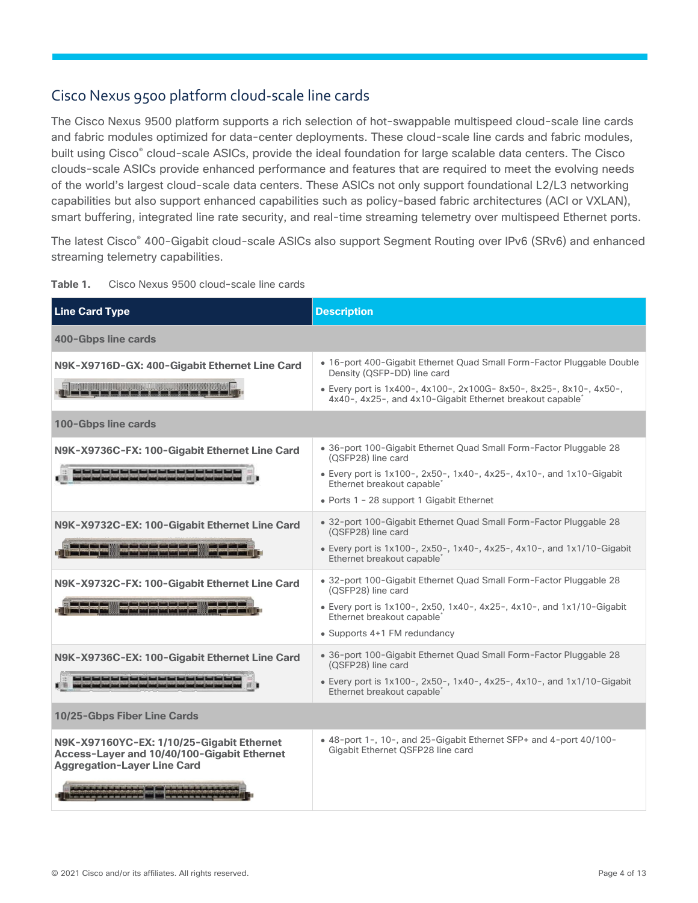## <span id="page-3-0"></span>Cisco Nexus 9500 platform cloud-scale line cards

The Cisco Nexus 9500 platform supports a rich selection of hot-swappable multispeed cloud-scale line cards and fabric modules optimized for data-center deployments. These cloud-scale line cards and fabric modules, built using Cisco® cloud-scale ASICs, provide the ideal foundation for large scalable data centers. The Cisco clouds-scale ASICs provide enhanced performance and features that are required to meet the evolving needs of the world's largest cloud-scale data centers. These ASICs not only support foundational L2/L3 networking capabilities but also support enhanced capabilities such as policy-based fabric architectures (ACI or VXLAN), smart buffering, integrated line rate security, and real-time streaming telemetry over multispeed Ethernet ports.

The latest Cisco® 400-Gigabit cloud-scale ASICs also support Segment Routing over IPv6 (SRv6) and enhanced streaming telemetry capabilities.

| <b>Line Card Type</b>                                                                                                                                | <b>Description</b>                                                                                                                     |
|------------------------------------------------------------------------------------------------------------------------------------------------------|----------------------------------------------------------------------------------------------------------------------------------------|
| 400-Gbps line cards                                                                                                                                  |                                                                                                                                        |
| N9K-X9716D-GX: 400-Gigabit Ethernet Line Card                                                                                                        | • 16-port 400-Gigabit Ethernet Quad Small Form-Factor Pluggable Double<br>Density (QSFP-DD) line card                                  |
| <u> Tww.com.com - 1988</u>                                                                                                                           | · Every port is 1x400-, 4x100-, 2x100G- 8x50-, 8x25-, 8x10-, 4x50-,<br>4x40-, 4x25-, and 4x10-Gigabit Ethernet breakout capable*       |
| 100-Gbps line cards                                                                                                                                  |                                                                                                                                        |
| N9K-X9736C-FX: 100-Gigabit Ethernet Line Card                                                                                                        | • 36-port 100-Gigabit Ethernet Quad Small Form-Factor Pluggable 28<br>(QSFP28) line card                                               |
|                                                                                                                                                      | • Every port is 1x100-, 2x50-, 1x40-, 4x25-, 4x10-, and 1x10-Gigabit<br>Ethernet breakout capable <sup>*</sup>                         |
|                                                                                                                                                      | • Ports 1 - 28 support 1 Gigabit Ethernet                                                                                              |
| N9K-X9732C-EX: 100-Gigabit Ethernet Line Card                                                                                                        | • 32-port 100-Gigabit Ethernet Quad Small Form-Factor Pluggable 28<br>(QSFP28) line card                                               |
|                                                                                                                                                      | • Every port is $1x100$ -, $2x50$ -, $1x40$ -, $4x25$ -, $4x10$ -, and $1x1/10$ -Gigabit<br>Ethernet breakout capable'                 |
| N9K-X9732C-FX: 100-Gigabit Ethernet Line Card                                                                                                        | • 32-port 100-Gigabit Ethernet Quad Small Form-Factor Pluggable 28<br>(QSFP28) line card                                               |
|                                                                                                                                                      | • Every port is $1x100 -$ , $2x50$ , $1x40 -$ , $4x25 -$ , $4x10 -$ , and $1x1/10 -$ Gigabit<br>Ethernet breakout capable <sup>®</sup> |
|                                                                                                                                                      | • Supports 4+1 FM redundancy                                                                                                           |
| N9K-X9736C-EX: 100-Gigabit Ethernet Line Card                                                                                                        | · 36-port 100-Gigabit Ethernet Quad Small Form-Factor Pluggable 28<br>(QSFP28) line card                                               |
| أنسبت تسبية تسبية تسبية تسبية المبيتة ليسبة ليسبة تسبية تسبية بسبية السبية السبية المسا                                                              | • Every port is $1x100-$ , $2x50-$ , $1x40-$ , $4x25-$ , $4x10-$ , and $1x1/10-Gigabit$<br>Ethernet breakout capable <sup>?</sup>      |
| 10/25-Gbps Fiber Line Cards                                                                                                                          |                                                                                                                                        |
| N9K-X97160YC-EX: 1/10/25-Gigabit Ethernet<br>Access-Layer and 10/40/100-Gigabit Ethernet<br><b>Aggregation-Layer Line Card</b>                       | • 48-port 1-, 10-, and 25-Gigabit Ethernet SFP+ and 4-port 40/100-<br>Gigabit Ethernet QSFP28 line card                                |
| and and and and and some products to the text of the<br><u>i status da da da da da ba ba ba ba an inter territorial an antichia da da da da da d</u> |                                                                                                                                        |

| Table 1. | Cisco Nexus 9500 cloud-scale line cards |  |  |  |
|----------|-----------------------------------------|--|--|--|
|          |                                         |  |  |  |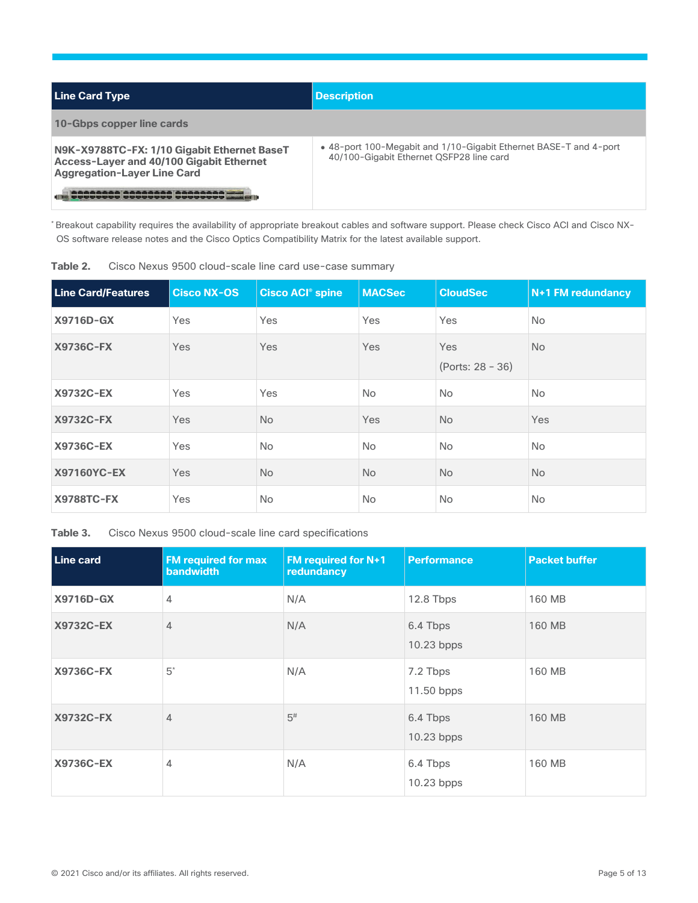| <b>Line Card Type</b>                                                                                                         | <b>Description</b>                                                                                            |
|-------------------------------------------------------------------------------------------------------------------------------|---------------------------------------------------------------------------------------------------------------|
| 10-Gbps copper line cards                                                                                                     |                                                                                                               |
| N9K-X9788TC-FX: 1/10 Gigabit Ethernet BaseT<br>Access-Layer and 40/100 Gigabit Ethernet<br><b>Aggregation-Layer Line Card</b> | • 48-port 100-Megabit and 1/10-Gigabit Ethernet BASE-T and 4-port<br>40/100-Gigabit Ethernet QSFP28 line card |
| ا کا کا کا کا کا کا کا کا کا کا کا کا ک                                                                                       |                                                                                                               |

\* Breakout capability requires the availability of appropriate breakout cables and software support. Please check Cisco ACI and Cisco NX-OS software release notes and the Cisco Optics Compatibility Matrix for the latest available support.

| Table 2. |  |  |  |  |  |  |  |  |  | Cisco Nexus 9500 cloud-scale line card use-case summary |  |
|----------|--|--|--|--|--|--|--|--|--|---------------------------------------------------------|--|
|----------|--|--|--|--|--|--|--|--|--|---------------------------------------------------------|--|

| <b>Line Card/Features</b> | <b>Cisco NX-OS</b> | <b>Cisco ACI<sup>®</sup> spine</b> | <b>MACSec</b> | <b>CloudSec</b>           | N+1 FM redundancy |
|---------------------------|--------------------|------------------------------------|---------------|---------------------------|-------------------|
| <b>X9716D-GX</b>          | Yes                | Yes                                | Yes           | Yes                       | <b>No</b>         |
| <b>X9736C-FX</b>          | Yes                | Yes                                | Yes           | Yes<br>$(Ports: 28 - 36)$ | No.               |
| <b>X9732C-EX</b>          | Yes                | Yes                                | <b>No</b>     | No.                       | <b>No</b>         |
| <b>X9732C-FX</b>          | Yes                | <b>No</b>                          | Yes           | <b>No</b>                 | Yes               |
| <b>X9736C-EX</b>          | Yes                | <b>No</b>                          | <b>No</b>     | No.                       | <b>No</b>         |
| X97160YC-EX               | <b>Yes</b>         | No.                                | <b>No</b>     | <b>No</b>                 | No.               |
| <b>X9788TC-FX</b>         | Yes                | <b>No</b>                          | <b>No</b>     | No.                       | <b>No</b>         |

**Table 3.** Cisco Nexus 9500 cloud-scale line card specifications

| Line card        | <b>FM required for max</b><br><b>bandwidth</b> | FM required for N+1<br>redundancy | <b>Performance</b>       | <b>Packet buffer</b> |
|------------------|------------------------------------------------|-----------------------------------|--------------------------|----------------------|
| X9716D-GX        | 4                                              | N/A                               | 12.8 Tbps                | 160 MB               |
| <b>X9732C-EX</b> | $\overline{4}$                                 | N/A                               | 6.4 Tbps<br>$10.23$ bpps | 160 MB               |
| <b>X9736C-FX</b> | $5^*$                                          | N/A                               | 7.2 Tbps<br>11.50 bpps   | 160 MB               |
| <b>X9732C-FX</b> | $\overline{4}$                                 | $5^{\sharp}$                      | 6.4 Tbps<br>$10.23$ bpps | 160 MB               |
| X9736C-EX        | 4                                              | N/A                               | 6.4 Tbps<br>10.23 bpps   | 160 MB               |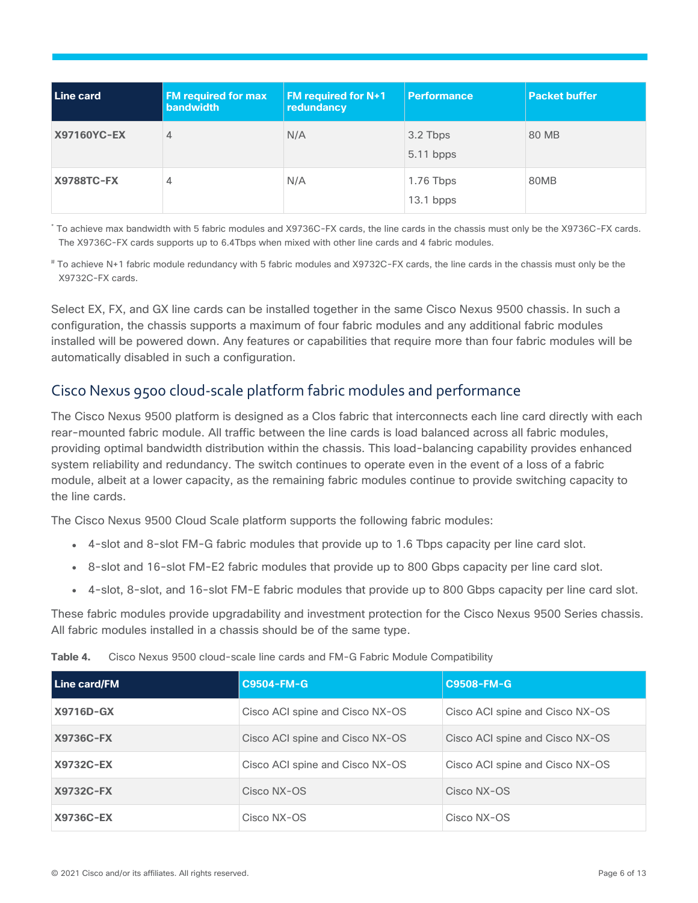| Line card          | <b>FM required for max</b><br><b>bandwidth</b> | <b>FM required for N+1</b><br>redundancy | <b>Performance</b>      | <b>Packet buffer</b> |
|--------------------|------------------------------------------------|------------------------------------------|-------------------------|----------------------|
| <b>X97160YC-EX</b> | 4                                              | N/A                                      | 3.2 Tbps<br>$5.11$ bpps | 80 MB                |
| <b>X9788TC-FX</b>  | 4                                              | N/A                                      | 1.76 Tbps<br>13.1 bpps  | 80MB                 |

\* To achieve max bandwidth with 5 fabric modules and X9736C-FX cards, the line cards in the chassis must only be the X9736C-FX cards. The X9736C-FX cards supports up to 6.4Tbps when mixed with other line cards and 4 fabric modules.

# To achieve N+1 fabric module redundancy with 5 fabric modules and X9732C-FX cards, the line cards in the chassis must only be the X9732C-FX cards.

Select EX, FX, and GX line cards can be installed together in the same Cisco Nexus 9500 chassis. In such a configuration, the chassis supports a maximum of four fabric modules and any additional fabric modules installed will be powered down. Any features or capabilities that require more than four fabric modules will be automatically disabled in such a configuration.

## <span id="page-5-0"></span>Cisco Nexus 9500 cloud-scale platform fabric modules and performance

The Cisco Nexus 9500 platform is designed as a Clos fabric that interconnects each line card directly with each rear-mounted fabric module. All traffic between the line cards is load balanced across all fabric modules, providing optimal bandwidth distribution within the chassis. This load-balancing capability provides enhanced system reliability and redundancy. The switch continues to operate even in the event of a loss of a fabric module, albeit at a lower capacity, as the remaining fabric modules continue to provide switching capacity to the line cards.

The Cisco Nexus 9500 Cloud Scale platform supports the following fabric modules:

- 4-slot and 8-slot FM-G fabric modules that provide up to 1.6 Tbps capacity per line card slot.
- 8-slot and 16-slot FM-E2 fabric modules that provide up to 800 Gbps capacity per line card slot.
- 4-slot, 8-slot, and 16-slot FM-E fabric modules that provide up to 800 Gbps capacity per line card slot.

These fabric modules provide upgradability and investment protection for the Cisco Nexus 9500 Series chassis. All fabric modules installed in a chassis should be of the same type.

| Table 4. |  | Cisco Nexus 9500 cloud-scale line cards and FM-G Fabric Module Compatibility |  |  |  |
|----------|--|------------------------------------------------------------------------------|--|--|--|
|----------|--|------------------------------------------------------------------------------|--|--|--|

| Line card/FM     | C9504-FM-G                      | C9508-FM-G                      |
|------------------|---------------------------------|---------------------------------|
| X9716D-GX        | Cisco ACI spine and Cisco NX-OS | Cisco ACI spine and Cisco NX-OS |
| <b>X9736C-FX</b> | Cisco ACI spine and Cisco NX-OS | Cisco ACI spine and Cisco NX-OS |
| X9732C-EX        | Cisco ACI spine and Cisco NX-OS | Cisco ACI spine and Cisco NX-OS |
| X9732C-FX        | Cisco NX-OS                     | Cisco NX-OS                     |
| X9736C-EX        | Cisco NX-OS                     | Cisco NX-OS                     |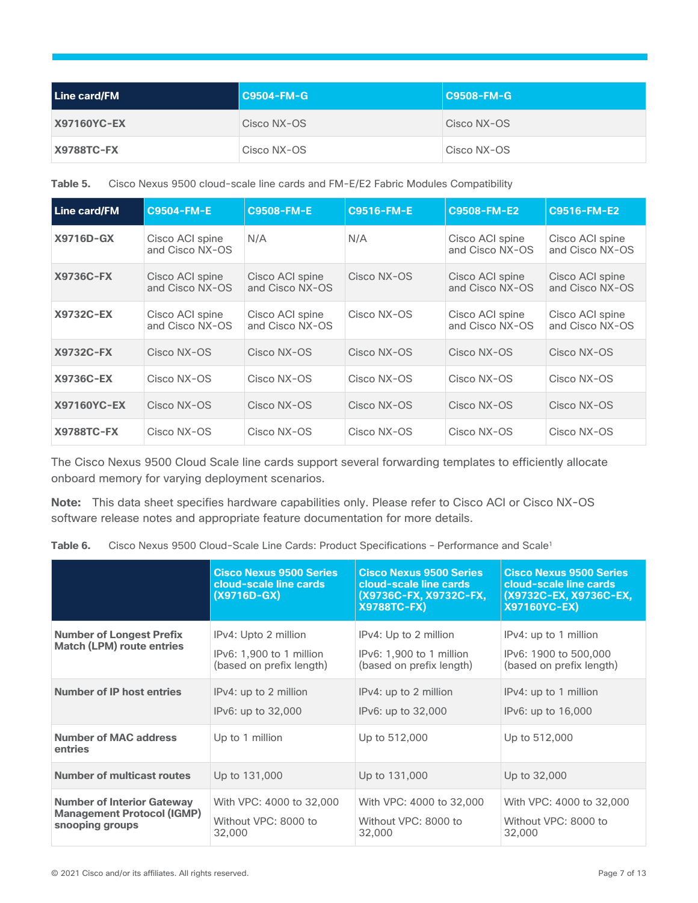| Line card/FM       | <b>C9504-FM-G</b> | <b>C9508-FM-G</b> |
|--------------------|-------------------|-------------------|
| <b>X97160YC-EX</b> | Cisco NX-OS       | Cisco NX-OS       |
| <b>X9788TC-FX</b>  | Cisco NX-OS       | Cisco NX-OS       |

**Table 5.** Cisco Nexus 9500 cloud-scale line cards and FM-E/E2 Fabric Modules Compatibility

| <b>Line card/FM</b> | <b>C9504-FM-E</b>                  | <b>C9508-FM-E</b>                  | <b>C9516-FM-E</b> | C9508-FM-E2                        | <b>C9516-FM-E2</b>                 |
|---------------------|------------------------------------|------------------------------------|-------------------|------------------------------------|------------------------------------|
| X9716D-GX           | Cisco ACI spine<br>and Cisco NX-OS | N/A                                | N/A               | Cisco ACI spine<br>and Cisco NX-OS | Cisco ACI spine<br>and Cisco NX-OS |
| <b>X9736C-FX</b>    | Cisco ACI spine<br>and Cisco NX-OS | Cisco ACI spine<br>and Cisco NX-OS | Cisco NX-OS       | Cisco ACI spine<br>and Cisco NX-OS | Cisco ACI spine<br>and Cisco NX-OS |
| <b>X9732C-EX</b>    | Cisco ACI spine<br>and Cisco NX-OS | Cisco ACI spine<br>and Cisco NX-OS | Cisco NX-OS       | Cisco ACI spine<br>and Cisco NX-OS | Cisco ACI spine<br>and Cisco NX-OS |
| <b>X9732C-FX</b>    | Cisco NX-OS                        | Cisco NX-OS                        | Cisco NX-OS       | Cisco NX-OS                        | Cisco NX-OS                        |
| X9736C-EX           | Cisco NX-OS                        | Cisco NX-OS                        | Cisco NX-OS       | Cisco NX-OS                        | Cisco NX-OS                        |
| <b>X97160YC-EX</b>  | Cisco NX-OS                        | Cisco NX-OS                        | Cisco NX-OS       | Cisco NX-OS                        | Cisco NX-OS                        |
| <b>X9788TC-FX</b>   | Cisco NX-OS                        | Cisco NX-OS                        | Cisco NX-OS       | Cisco NX-OS                        | Cisco NX-OS                        |

The Cisco Nexus 9500 Cloud Scale line cards support several forwarding templates to efficiently allocate onboard memory for varying deployment scenarios.

**Note:** This data sheet specifies hardware capabilities only. Please refer to Cisco ACI or Cisco NX-OS software release notes and appropriate feature documentation for more details.

| Table 6. | Cisco Nexus 9500 Cloud-Scale Line Cards: Product Specifications - Performance and Scale <sup>1</sup> |
|----------|------------------------------------------------------------------------------------------------------|
|----------|------------------------------------------------------------------------------------------------------|

|                                                                                           | <b>Cisco Nexus 9500 Series</b><br>cloud-scale line cards<br>$(X9716D-GX)$    | <b>Cisco Nexus 9500 Series</b><br>cloud-scale line cards<br>(X9736C-FX, X9732C-FX,<br><b>X9788TC-FX)</b> | <b>Cisco Nexus 9500 Series</b><br>cloud-scale line cards<br>(X9732C-EX, X9736C-EX,<br><b>X97160YC-EX)</b> |
|-------------------------------------------------------------------------------------------|------------------------------------------------------------------------------|----------------------------------------------------------------------------------------------------------|-----------------------------------------------------------------------------------------------------------|
| <b>Number of Longest Prefix</b><br><b>Match (LPM) route entries</b>                       | IPv4: Upto 2 million<br>IPv6: 1,900 to 1 million<br>(based on prefix length) | IPv4: Up to 2 million<br>IPv6: 1,900 to 1 million<br>(based on prefix length)                            | IPv4: up to 1 million<br>IPv6: 1900 to 500,000<br>(based on prefix length)                                |
| <b>Number of IP host entries</b>                                                          | IPv4: up to 2 million<br>IPv6: up to 32,000                                  | IPv4: up to 2 million<br>IPv6: up to 32,000                                                              | IPv4: up to 1 million<br>IPv6: up to 16,000                                                               |
| <b>Number of MAC address</b><br>entries                                                   | Up to 1 million                                                              | Up to 512,000                                                                                            | Up to 512,000                                                                                             |
| <b>Number of multicast routes</b>                                                         | Up to 131,000                                                                | Up to 131,000                                                                                            | Up to 32,000                                                                                              |
| <b>Number of Interior Gateway</b><br><b>Management Protocol (IGMP)</b><br>snooping groups | With VPC: 4000 to 32,000<br>Without VPC: 8000 to<br>32,000                   | With VPC: 4000 to 32,000<br>Without VPC: 8000 to<br>32,000                                               | With VPC: 4000 to 32,000<br>Without VPC: 8000 to<br>32,000                                                |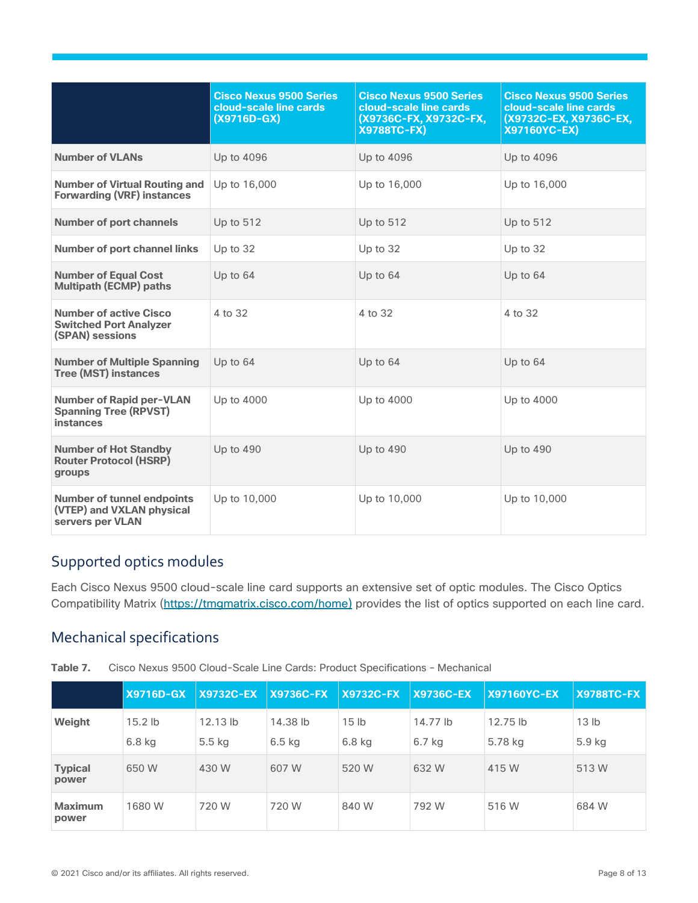|                                                                                    | <b>Cisco Nexus 9500 Series</b><br>cloud-scale line cards<br>$(X9716D-GX)$ | <b>Cisco Nexus 9500 Series</b><br>cloud-scale line cards<br>(X9736C-FX, X9732C-FX,<br><b>X9788TC-FX)</b> | <b>Cisco Nexus 9500 Series</b><br>cloud-scale line cards<br>(X9732C-EX, X9736C-EX,<br>X97160YC-EX) |
|------------------------------------------------------------------------------------|---------------------------------------------------------------------------|----------------------------------------------------------------------------------------------------------|----------------------------------------------------------------------------------------------------|
| <b>Number of VLANs</b>                                                             | Up to 4096                                                                | Up to 4096                                                                                               | Up to 4096                                                                                         |
| <b>Number of Virtual Routing and</b><br><b>Forwarding (VRF) instances</b>          | Up to 16,000                                                              | Up to 16,000                                                                                             | Up to 16,000                                                                                       |
| <b>Number of port channels</b>                                                     | Up to 512                                                                 | Up to 512                                                                                                | Up to 512                                                                                          |
| <b>Number of port channel links</b>                                                | Up to 32                                                                  | Up to 32                                                                                                 | Up to 32                                                                                           |
| <b>Number of Equal Cost</b><br><b>Multipath (ECMP) paths</b>                       | Up to 64                                                                  | Up to 64                                                                                                 | Up to $64$                                                                                         |
| <b>Number of active Cisco</b><br><b>Switched Port Analyzer</b><br>(SPAN) sessions  | 4 to 32                                                                   | 4 to 32                                                                                                  | 4 to 32                                                                                            |
| <b>Number of Multiple Spanning</b><br><b>Tree (MST) instances</b>                  | Up to 64                                                                  | Up to $64$                                                                                               | Up to $64$                                                                                         |
| <b>Number of Rapid per-VLAN</b><br><b>Spanning Tree (RPVST)</b><br>instances       | Up to 4000                                                                | Up to 4000                                                                                               | Up to 4000                                                                                         |
| <b>Number of Hot Standby</b><br><b>Router Protocol (HSRP)</b><br>groups            | Up to 490                                                                 | Up to 490                                                                                                | Up to 490                                                                                          |
| <b>Number of tunnel endpoints</b><br>(VTEP) and VXLAN physical<br>servers per VLAN | Up to 10,000                                                              | Up to 10,000                                                                                             | Up to 10,000                                                                                       |

## <span id="page-7-0"></span>Supported optics modules

Each Cisco Nexus 9500 cloud-scale line card supports an extensive set of optic modules. The Cisco Optics Compatibility Matrix [\(https://tmgmatrix.cisco.com/home\)](https://tmgmatrix.cisco.com/home) provides the list of optics supported on each line card.

## <span id="page-7-1"></span>Mechanical specifications

**Table 7.** Cisco Nexus 9500 Cloud-Scale Line Cards: Product Specifications – Mechanical

|                         | <b>X9716D-GX</b> | <b>X9732C-EX</b>  | <b>X9736C-FX</b> | <b>X9732C-FX</b> | <b>X9736C-EX</b> | <b>X97160YC-EX</b> | <b>X9788TC-FX</b> |
|-------------------------|------------------|-------------------|------------------|------------------|------------------|--------------------|-------------------|
| Weight                  | $15.2$ lb        | 12.13 lb          | 14.38 lb         | 15 <sub>lb</sub> | 14.77 lb         | 12.75 lb           | 13 <sub>lb</sub>  |
|                         | $6.8$ kg         | 5.5 <sub>kg</sub> | $6.5$ kg         | $6.8$ kg         | $6.7$ kg         | 5.78 kg            | 5.9 kg            |
| <b>Typical</b><br>power | 650 W            | 430 W             | 607 W            | 520 W            | 632 W            | 415 W              | 513 W             |
| <b>Maximum</b><br>power | 1680 W           | 720 W             | 720 W            | 840 W            | 792 W            | 516 W              | 684 W             |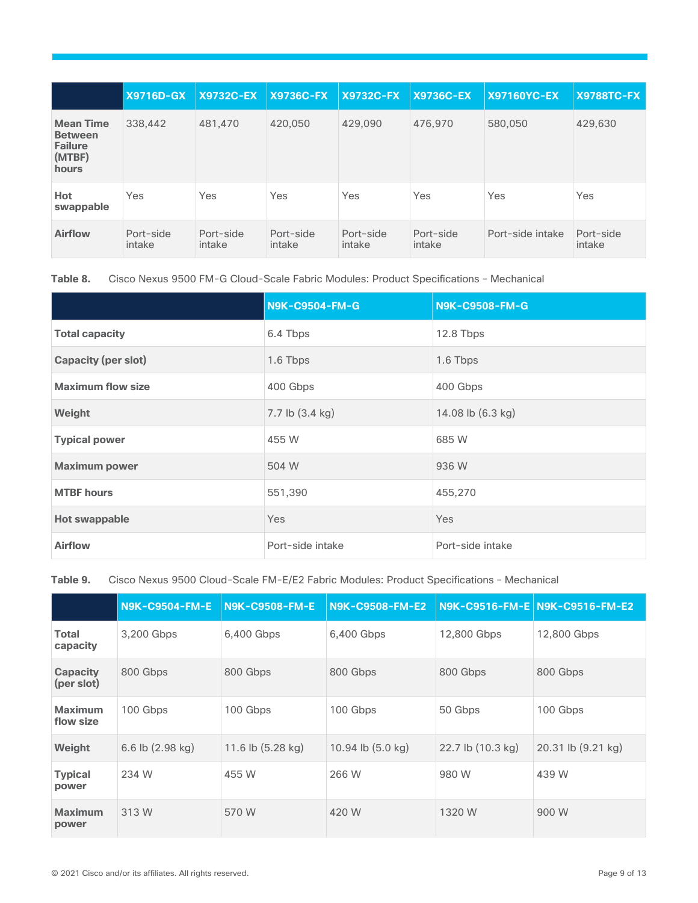|                                                                         | <b>X9716D-GX</b>    | <b>X9732C-EX</b>    | <b>X9736C-FX</b>    | <b>X9732C-FX</b>    | <b>X9736C-EX</b>    | <b>X97160YC-EX</b> | <b>X9788TC-FX</b>   |
|-------------------------------------------------------------------------|---------------------|---------------------|---------------------|---------------------|---------------------|--------------------|---------------------|
| <b>Mean Time</b><br><b>Between</b><br><b>Failure</b><br>(MTBF)<br>hours | 338,442             | 481,470             | 420,050             | 429.090             | 476,970             | 580,050            | 429,630             |
| Hot<br>swappable                                                        | Yes                 | Yes                 | Yes                 | Yes                 | Yes                 | Yes                | Yes                 |
| <b>Airflow</b>                                                          | Port-side<br>intake | Port-side<br>intake | Port-side<br>intake | Port-side<br>intake | Port-side<br>intake | Port-side intake   | Port-side<br>intake |

**Table 8.** Cisco Nexus 9500 FM-G Cloud-Scale Fabric Modules: Product Specifications – Mechanical

|                            | <b>N9K-C9504-FM-G</b> | N9K-C9508-FM-G    |
|----------------------------|-----------------------|-------------------|
| <b>Total capacity</b>      | 6.4 Tbps              | 12.8 Tbps         |
| <b>Capacity (per slot)</b> | 1.6 Tbps              | 1.6 Tbps          |
| <b>Maximum flow size</b>   | 400 Gbps              | 400 Gbps          |
| Weight                     | 7.7 lb (3.4 kg)       | 14.08 lb (6.3 kg) |
| <b>Typical power</b>       | 455 W                 | 685 W             |
| <b>Maximum power</b>       | 504 W                 | 936 W             |
| <b>MTBF</b> hours          | 551,390               | 455,270           |
| <b>Hot swappable</b>       | Yes                   | <b>Yes</b>        |
| <b>Airflow</b>             | Port-side intake      | Port-side intake  |

**Table 9.** Cisco Nexus 9500 Cloud-Scale FM-E/E2 Fabric Modules: Product Specifications – Mechanical

|                               | <b>N9K-C9504-FM-E</b>      | <b>N9K-C9508-FM-E</b> | <b>N9K-C9508-FM-E2</b> |                   | N9K-C9516-FM-E N9K-C9516-FM-E2 |
|-------------------------------|----------------------------|-----------------------|------------------------|-------------------|--------------------------------|
| <b>Total</b><br>capacity      | 3,200 Gbps                 | 6,400 Gbps            | 6,400 Gbps             | 12,800 Gbps       | 12,800 Gbps                    |
| <b>Capacity</b><br>(per slot) | 800 Gbps                   | 800 Gbps              | 800 Gbps               | 800 Gbps          | 800 Gbps                       |
| <b>Maximum</b><br>flow size   | 100 Gbps                   | 100 Gbps              | 100 Gbps               | 50 Gbps           | 100 Gbps                       |
| Weight                        | 6.6 lb $(2.98 \text{ kg})$ | 11.6 lb (5.28 kg)     | 10.94 lb (5.0 kg)      | 22.7 lb (10.3 kg) | 20.31 lb (9.21 kg)             |
| <b>Typical</b><br>power       | 234 W                      | 455 W                 | 266 W                  | 980 W             | 439 W                          |
| <b>Maximum</b><br>power       | 313 W                      | 570 W                 | 420 W                  | 1320 W            | 900 W                          |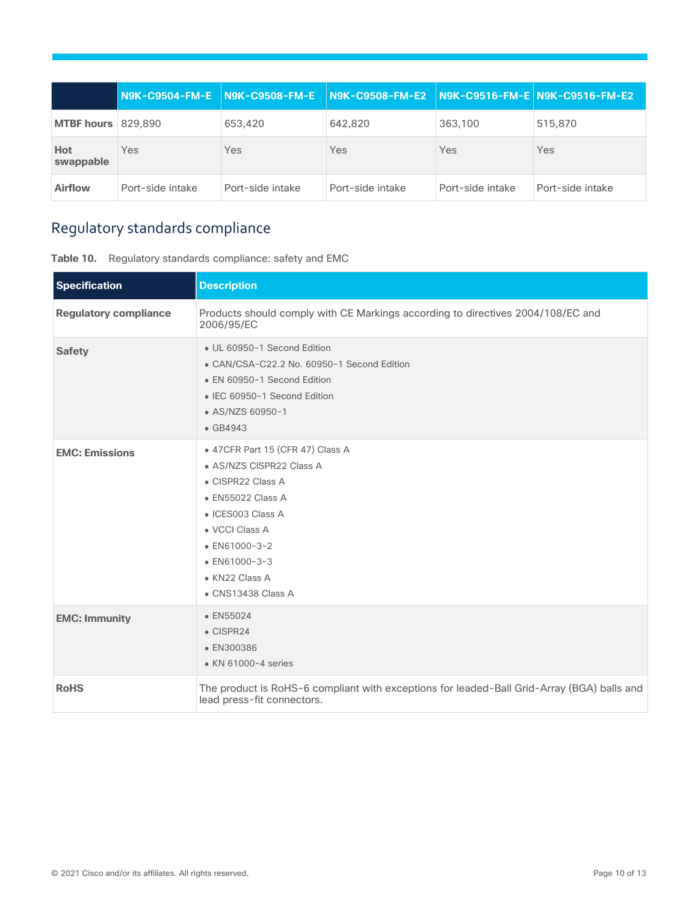|                   |                  | N9K-C9504-FM-E N9K-C9508-FM-E | $\mid$ N9K-C9508-FM-E2 $\mid$ N9K-C9516-FM-E N9K-C9516-FM-E2 |                  |                  |
|-------------------|------------------|-------------------------------|--------------------------------------------------------------|------------------|------------------|
| <b>MTBF hours</b> | 829,890          | 653,420                       | 642,820                                                      | 363,100          | 515,870          |
| Hot<br>swappable  | <b>Yes</b>       | Yes                           | Yes                                                          | Yes              | Yes              |
| <b>Airflow</b>    | Port-side intake | Port-side intake              | Port-side intake                                             | Port-side intake | Port-side intake |

## <span id="page-9-0"></span>Regulatory standards compliance

| Table 10. | Regulatory standards compliance: safety and EMC |  |  |  |  |
|-----------|-------------------------------------------------|--|--|--|--|
|-----------|-------------------------------------------------|--|--|--|--|

| <b>Specification</b>         | <b>Description</b>                                                                                                                                                                                                                              |
|------------------------------|-------------------------------------------------------------------------------------------------------------------------------------------------------------------------------------------------------------------------------------------------|
| <b>Regulatory compliance</b> | Products should comply with CE Markings according to directives 2004/108/EC and<br>2006/95/EC                                                                                                                                                   |
| <b>Safety</b>                | • UL 60950-1 Second Edition<br>• CAN/CSA-C22.2 No. 60950-1 Second Edition<br>• EN 60950-1 Second Edition<br>• IEC 60950-1 Second Edition<br>• AS/NZS 60950-1<br>$\bullet$ GB4943                                                                |
| <b>EMC: Emissions</b>        | • 47CFR Part 15 (CFR 47) Class A<br>• AS/NZS CISPR22 Class A<br>• CISPR22 Class A<br>• EN55022 Class A<br>$\bullet$ ICES003 Class A<br>• VCCI Class A<br>$\bullet$ EN61000-3-2<br>$\bullet$ EN61000-3-3<br>• KN22 Class A<br>• CNS13438 Class A |
| <b>EMC: Immunity</b>         | $\bullet$ EN55024<br>$\bullet$ CISPR24<br>• EN300386<br>• KN 61000-4 series                                                                                                                                                                     |
| <b>RoHS</b>                  | The product is RoHS-6 compliant with exceptions for leaded-Ball Grid-Array (BGA) balls and<br>lead press-fit connectors.                                                                                                                        |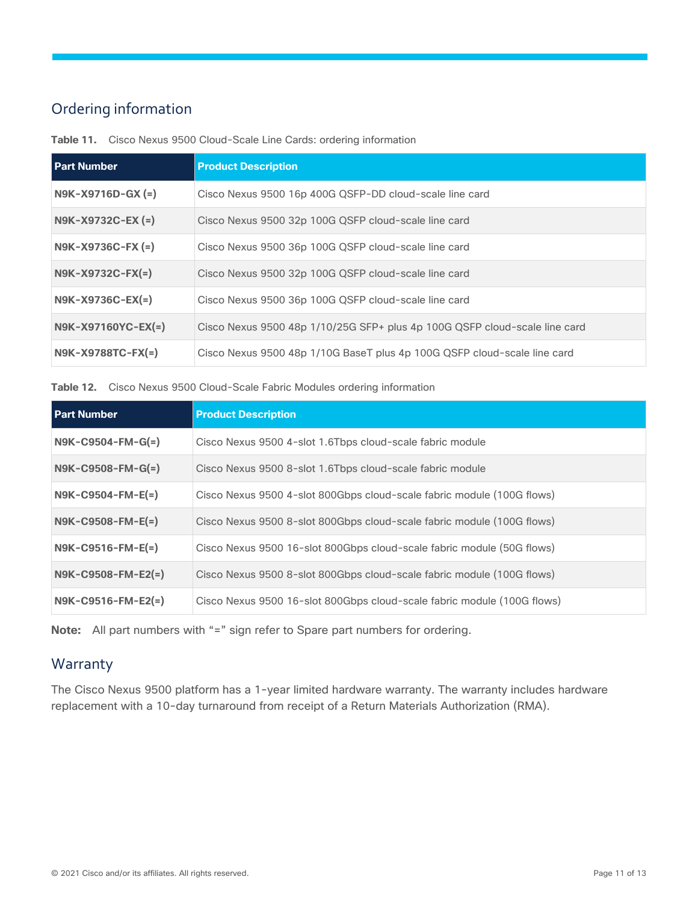## <span id="page-10-0"></span>Ordering information

| <b>Part Number</b>      | <b>Product Description</b>                                                 |
|-------------------------|----------------------------------------------------------------------------|
| $N9K - X9716D - GX (=)$ | Cisco Nexus 9500 16p 400G QSFP-DD cloud-scale line card                    |
| N9K-X9732C-EX (=)       | Cisco Nexus 9500 32p 100G QSFP cloud-scale line card                       |
| N9K-X9736C-FX (=)       | Cisco Nexus 9500 36p 100G QSFP cloud-scale line card                       |
| $N9K-X9732C-FX(=)$      | Cisco Nexus 9500 32p 100G QSFP cloud-scale line card                       |
| $N9K-X9736C-EX(=)$      | Cisco Nexus 9500 36p 100G QSFP cloud-scale line card                       |
| N9K-X97160YC-EX(=)      | Cisco Nexus 9500 48p 1/10/25G SFP+ plus 4p 100G QSFP cloud-scale line card |
| $N9K-X9788TC-FX(=)$     | Cisco Nexus 9500 48p 1/10G BaseT plus 4p 100G QSFP cloud-scale line card   |

**Table 11.** Cisco Nexus 9500 Cloud-Scale Line Cards: ordering information

**Table 12.** Cisco Nexus 9500 Cloud-Scale Fabric Modules ordering information

| <b>Part Number</b>   | <b>Product Description</b>                                              |
|----------------------|-------------------------------------------------------------------------|
| $N9K-C9504-FM-G(=)$  | Cisco Nexus 9500 4-slot 1.6Tbps cloud-scale fabric module               |
| $N9K-C9508-FM-G(=)$  | Cisco Nexus 9500 8-slot 1.6Tbps cloud-scale fabric module               |
| $N9K-C9504-FM-E(=)$  | Cisco Nexus 9500 4-slot 800Gbps cloud-scale fabric module (100G flows)  |
| $N9K-C9508-FM-E(=)$  | Cisco Nexus 9500 8-slot 800Gbps cloud-scale fabric module (100G flows)  |
| $N9K-C9516-FM-E(=)$  | Cisco Nexus 9500 16-slot 800Gbps cloud-scale fabric module (50G flows)  |
| $N9K-C9508-FM-E2(=)$ | Cisco Nexus 9500 8-slot 800Gbps cloud-scale fabric module (100G flows)  |
| $N9K-C9516-FM-E2(=)$ | Cisco Nexus 9500 16-slot 800Gbps cloud-scale fabric module (100G flows) |

**Note:** All part numbers with "=" sign refer to Spare part numbers for ordering.

## <span id="page-10-1"></span>Warranty

The Cisco Nexus 9500 platform has a 1-year limited hardware warranty. The warranty includes hardware replacement with a 10-day turnaround from receipt of a Return Materials Authorization (RMA).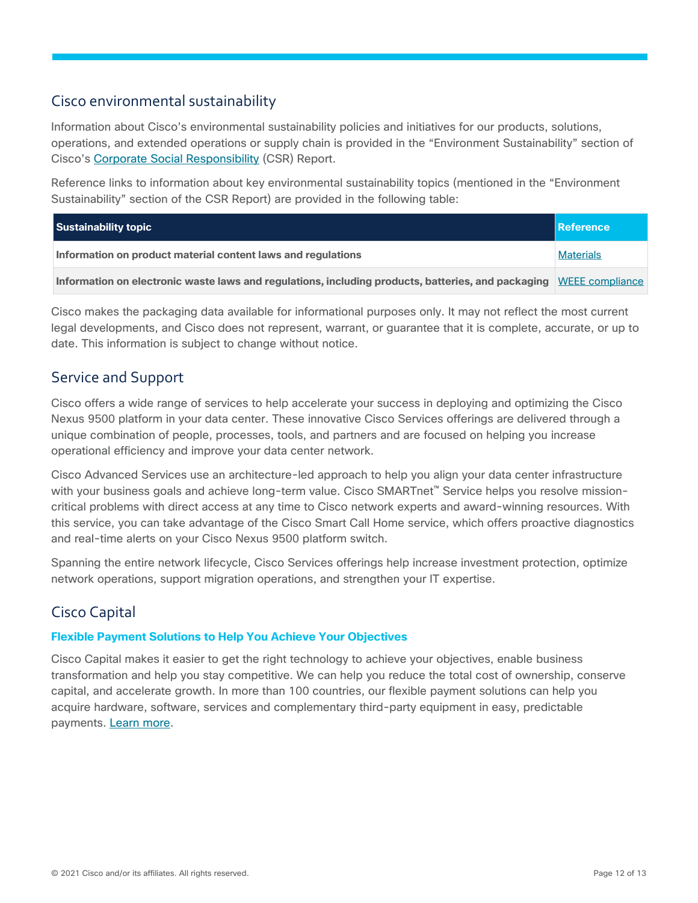## <span id="page-11-0"></span>Cisco environmental sustainability

Information about Cisco's environmental sustainability policies and initiatives for our products, solutions, operations, and extended operations or supply chain is provided in the "Environment Sustainability" section of Cisco's [Corporate Social Responsibility](https://www-1.compliance2product.com/c2p/getAttachment.do?code=YM6Y0yThdO6Wj1FxxYPYfUG2dtFkTeFWGpzLRO8tcURFEifUCRV403Tq2ZMWP6Ai) (CSR) Report.

Reference links to information about key environmental sustainability topics (mentioned in the "Environment Sustainability" section of the CSR Report) are provided in the following table:

| Sustainability topic                                                                                               | Reference        |
|--------------------------------------------------------------------------------------------------------------------|------------------|
| Information on product material content laws and regulations                                                       | <b>Materials</b> |
| Information on electronic waste laws and regulations, including products, batteries, and packaging WEEE compliance |                  |

Cisco makes the packaging data available for informational purposes only. It may not reflect the most current legal developments, and Cisco does not represent, warrant, or guarantee that it is complete, accurate, or up to date. This information is subject to change without notice.

## <span id="page-11-1"></span>Service and Support

Cisco offers a wide range of services to help accelerate your success in deploying and optimizing the Cisco Nexus 9500 platform in your data center. These innovative Cisco Services offerings are delivered through a unique combination of people, processes, tools, and partners and are focused on helping you increase operational efficiency and improve your data center network.

Cisco Advanced Services use an architecture-led approach to help you align your data center infrastructure with your business goals and achieve long-term value. Cisco SMARTnet™ Service helps you resolve missioncritical problems with direct access at any time to Cisco network experts and award-winning resources. With this service, you can take advantage of the Cisco Smart Call Home service, which offers proactive diagnostics and real-time alerts on your Cisco Nexus 9500 platform switch.

Spanning the entire network lifecycle, Cisco Services offerings help increase investment protection, optimize network operations, support migration operations, and strengthen your IT expertise.

## <span id="page-11-2"></span>Cisco Capital

### **Flexible Payment Solutions to Help You Achieve Your Objectives**

Cisco Capital makes it easier to get the right technology to achieve your objectives, enable business transformation and help you stay competitive. We can help you reduce the total cost of ownership, conserve capital, and accelerate growth. In more than 100 countries, our flexible payment solutions can help you acquire hardware, software, services and complementary third-party equipment in easy, predictable payments. Learn [more.](https://www.cisco.com/go/financing)